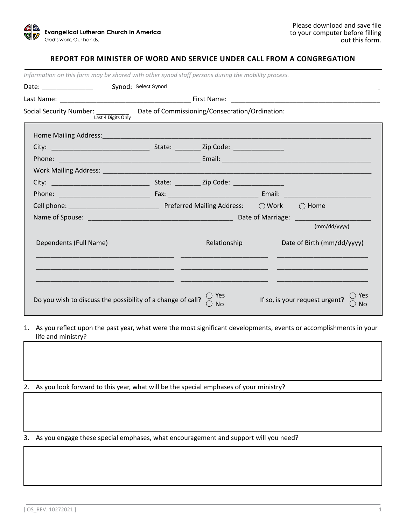

## **REPORT FOR MINISTER OF WORD AND SERVICE UNDER CALL FROM A CONGREGATION**

| Information on this form may be shared with other synod staff persons during the mobility process.             |                     |                    |  |                                                            |  |  |  |  |
|----------------------------------------------------------------------------------------------------------------|---------------------|--------------------|--|------------------------------------------------------------|--|--|--|--|
| Date: ________________                                                                                         | Synod: Select Synod |                    |  |                                                            |  |  |  |  |
|                                                                                                                |                     |                    |  |                                                            |  |  |  |  |
| Social Security Number: $\frac{1}{\text{Last 4 Digits Only}}$ Date of Commissioning/Consecration/Ordination:   |                     |                    |  |                                                            |  |  |  |  |
| Home Mailing Address: 1999 Mailing Address: 1999 Mail 2009 Mail 2009 Mail 2009 Mail 2009 Mail 2009 Mail 2009 M |                     |                    |  |                                                            |  |  |  |  |
|                                                                                                                |                     |                    |  |                                                            |  |  |  |  |
|                                                                                                                |                     |                    |  |                                                            |  |  |  |  |
|                                                                                                                |                     |                    |  |                                                            |  |  |  |  |
|                                                                                                                |                     |                    |  |                                                            |  |  |  |  |
|                                                                                                                |                     |                    |  |                                                            |  |  |  |  |
|                                                                                                                |                     |                    |  |                                                            |  |  |  |  |
|                                                                                                                |                     |                    |  |                                                            |  |  |  |  |
|                                                                                                                |                     |                    |  | (mm/dd/yyyy)                                               |  |  |  |  |
| Dependents (Full Name)                                                                                         |                     | Relationship       |  | Date of Birth (mm/dd/yyyy)                                 |  |  |  |  |
|                                                                                                                |                     |                    |  |                                                            |  |  |  |  |
|                                                                                                                |                     |                    |  |                                                            |  |  |  |  |
| Do you wish to discuss the possibility of a change of call?                                                    |                     | ◯ Yes<br><b>No</b> |  | ◯ Yes<br>If so, is your request urgent?<br>()<br><b>No</b> |  |  |  |  |

- 1. As you reflect upon the past year, what were the most significant developments, events or accomplishments in your life and ministry?
- 2. As you look forward to this year, what will be the special emphases of your ministry?

3. As you engage these special emphases, what encouragement and support will you need?